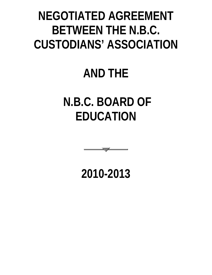# **NEGOTIATED AGREEMENT BETWEEN THE N.B.C. CUSTODIANS' ASSOCIATION**

# **AND THE**

# **N.B.C. BOARD OF EDUCATION**



**2010-2013**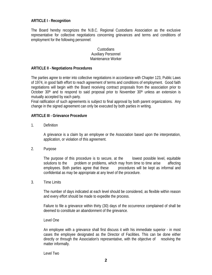# **ARTICLE I - Recognition**

The Board hereby recognizes the N.B.C. Regional Custodians Association as the exclusive representative for collective negotiations concerning grievances and terms and conditions of employment for the following personnel:

# Custodians Auxiliary Personnel Maintenance Worker

## **ARTICLE II - Negotiations Procedures**

The parties agree to enter into collective negotiations in accordance with Chapter 123, Public Laws of 1974, in good faith effort to reach agreement of terms and conditions of employment. Good faith negotiations will begin with the Board receiving contract proposals from the association prior to October 30<sup>th</sup> and to respond to said proposal prior to November 30<sup>th</sup> unless an extension is mutually accepted by each party.

Final ratification of such agreements is subject to final approval by both parent organizations. Any change in the signed agreement can only be executed by both parties in writing.

#### **ARTICLE III - Grievance Procedure**

1. Definition

A grievance is a claim by an employee or the Association based upon the interpretation, application, or violation of this agreement.

2. Purpose

The purpose of this procedure is to secure, at the lowest possible level, equitable solutions to the problem or problems, which may from time to time arise affecting employees. Both parties agree that these procedures will be kept as informal and confidential as may be appropriate at any level of the procedure.

3. Time Limits

The number of days indicated at each level should be considered, as flexible within reason and every effort should be made to expedite the process.

Failure to file a grievance within thirty (30) days of the occurrence complained of shall be deemed to constitute an abandonment of the grievance.

Level One

An employee with a grievance shall first discuss it with his immediate superior - in most cases the employee designated as the Director of Facilities. This can be done either directly or through the Association's representative, with the objective of resolving the matter informally.

Level Two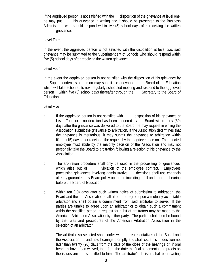If the aggrieved person is not satisfied with the disposition of the grievance at level one, he may put his grievance in writing and it should be presented to the Business Administrator who should respond within five (5) school days after receiving the written grievance.

## Level Three

In the event the aggrieved person is not satisfied with the disposition at level two, said grievance may be submitted to the Superintendent of Schools who should respond within five (5) school days after receiving the written grievance.

## Level Four

In the event the aggrieved person is not satisfied with the disposition of his grievance by the Superintendent, said person may submit the grievance to the Board of Education which will take action at its next regularly scheduled meeting and respond to the aggrieved person within five (5) school days thereafter through the Secretary to the Board of Education.

## Level Five

- a. If the aggrieved person is not satisfied with disposition of his grievance at Level Four, or if no decision has been rendered by the Board within thirty (30) days after the grievance was delivered to the Board, he may request in writing the Association submit the grievance to arbitration. If the Association determines that the grievance is meritorious, it may submit the grievance to arbitration within fifteen (15) days after receipt of the request by the aggrieved person. The affected employee must abide by the majority decision of the Association and may not personally take the Board to arbitration following a rejection of his grievance by the Association.
- b. The arbitration procedure shall only be used in the processing of grievances, which arise out of violation of the employee contract. Employees processing grievances involving administrative decisions shall use channels already guaranteed by Board policy up to and including a full and open hearing before the Board of Education.
- c. Within ten (10) days after such written notice of submission to arbitration, the Board and the Association shall attempt to agree upon a mutually acceptable arbitrator and shall obtain a commitment from said arbitrator to serve. If the parties are unable to agree upon an arbitrator or to obtain such a commitment within the specified period, a request for a list of arbitrators may be made to the American Arbitration Association by either party. The parties shall then be bound by the rules and procedures of the American Arbitration Association in the selection of an arbitrator.
- d. The arbitrator so selected shall confer with the representatives of the Board and the Association and hold hearings promptly and shall issue his decision not later than twenty (20) days from the date of the close of the hearings or, if oral hearings have been waived, then from the date the final statements and proofs on the issues are submitted to him. The arbitrator's decision shall be in writing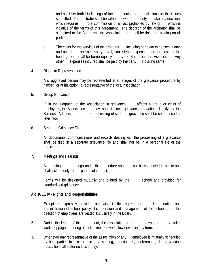and shall set forth his findings of facts, reasoning and conclusions on the issues submitted. The arbitrator shall be without power or authority to make any decision, which requires the commission of an act prohibited by law or which is violative of the terms of this agreement. The decision of the arbitrator shall be submitted to the Board and the Association and shall be final and binding on all parties.

- e. The costs for the services of the arbitrator, including per diem expenses, if any, and actual and necessary travel, subsistence expenses and the costs of the hearing room shall be borne equally by the Board and the Association. Any other expenses incurred shall be paid by the party incurring same.
- 4. Rights to Representation

Any aggrieved person may be represented at all stages of the grievance procedure by himself, or at his option, a representative of the local association.

5. Group Grievance

If, in the judgment of the Association, a grievance affects a group or class of employees, the Association may submit such grievance in writing directly to the Business Administrator, and the processing of such grievance shall be commenced at level two.

6. Separate Grievance File

All documents, communications and records dealing with the processing of a grievance shall be filed in a separate grievance file and shall not be in a personal file of the participant.

7. Meetings and Hearings

All meetings and hearings under this procedure shall not be conducted in public and shall include only the parties of interest.

Forms will be designed mutually and printed by the school and provided for standardized grievances.

# **ARTICLE IV - Rights and Responsibilities**

- 1. Except as expressly provided otherwise in this agreement, the determination and administration of school policy, the operation and management of the schools, and the direction of employees are vested exclusively in the Board.
- 2. During the length of this agreement, the association agrees not to engage in any strike, work stoppage, honoring of picket lines, or work slow downs in any form.
- 3. Whenever any representative of the association or any employee is mutually scheduled by both parties to take part in any meeting, negotiations, conferences, during working hours, he shall suffer no loss in pay.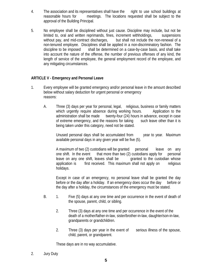- 4. The association and its representatives shall have the right to use school buildings at reasonable hours for meetings. The locations requested shall be subject to the approval of the Building Principal.
- 5. No employee shall be disciplined without just cause. Discipline may include, but not be limited to, oral and written reprimands, fines, increment withholdings, suspensions without pay, and mid-contract discharges, but shall not include the non-renewal of a non-tenured employee. Disciplines shall be applied in a non-discriminatory fashion. The discipline to be imposed shall be determined on a case-by-case basis, and shall take into account the nature of the offense, the number of previous offenses of any kind, the length of service of the employee, the general employment record of the employee, and any mitigating circumstances.

# **ARTICLE V - Emergency and Personal Leave**

- 1. Every employee will be granted emergency and/or personal leave in the amount described below without salary deduction for urgent personal or emergency reasons:
	- A. Three (3) days per year for personal, legal, religious, business or family matters which urgently require absence during working hours. Application to the administration shall be made twenty-four (24) hours in advance, except in case of extreme emergency, and the reasons for taking such leave other than it is being taken under this category, need not be stated.

Unused personal days shall be accumulated from year to year. Maximum available personal days in any given year will be five (5).

A maximum of two (2) custodians will be granted personal leave on any one shift. In the event that more than two (2) custodians apply for personal leave on any one shift, leaves shall be granted to the custodian whose application is first received. This maximum shall not apply on religious holidays.

Except in case of an emergency, no personal leave shall be granted the day before or the day after a holiday. If an emergency does occur the day before or the day after a holiday, the circumstances of the emergency must be stated.

- B. 1. Five (5) days at any one time and per occurrence in the event of death of the spouse, parent, child, or sibling.
	- 2. Three (3) days at any one time and per occurrence in the event of the death of a mother/father-in-law, sister/brother-in-law, daughter/son-in-law, grandparents or grandchildren.
	- 2. Three (3) days per year in the event of serious illness of the spouse, child, parent, or grandparent.

These days are in no way accumulative.

2. Jury Duty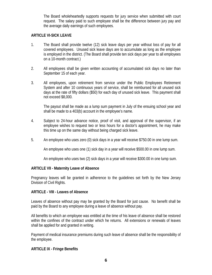The Board wholeheartedly supports requests for jury service when submitted with court request. The salary paid to such employee shall be the difference between jury pay and the average daily earnings of such employees.

# **ARTICLE VI-SICK LEAVE**

- 1. The Board shall provide twelve (12) sick leave days per year without loss of pay for all covered employees. Unused sick leave days are to accumulate as long as the employee is employed in the district. (The Board shall provide ten sick days per year to all employees on a 10-month contract.)
- 2. All employees shall be given written accounting of accumulated sick days no later than September 15 of each year.
- 3. All employees, upon retirement from service under the Public Employees Retirement System and after 10 continuous years of service, shall be reimbursed for all unused sick days at the rate of fifty dollars (\$50) for each day of unused sick leave. This payment shall not exceed \$8,000.

The payout shall be made as a lump sum payment in July of the ensuing school year and shall be made to a 403(b) account in the employee's name.

- 4. Subject to 24-hour advance notice, proof of visit, and approval of the supervisor, if an employee wishes to request two or less hours for a doctor's appointment, he may make this time up on the same day without being charged sick leave.
- 5. An employee who uses zero (0) sick days in a year will receive \$750.00 in one lump sum.

An employee who uses one (1) sick day in a year will receive \$500.00 in one lump sum.

An employee who uses two (2) sick days in a year will receive \$300.00 in one lump sum.

#### **ARTICLE VII - Maternity Leave of Absence**

Pregnancy leaves will be granted in adherence to the guidelines set forth by the New Jersey Division of Civil Rights.

# **ARTICLE - VIII - Leaves of Absence**

Leaves of absence without pay may be granted by the Board for just cause. No benefit shall be paid by the Board to any employee during a leave of absence without pay.

All benefits to which an employee was entitled at the time of his leave of absence shall be restored within the confines of the contract under which he returns. All extensions or renewals of leaves shall be applied for and granted in writing.

Payment of medical insurance premiums during such leave of absence shall be the responsibility of the employee.

#### **ARTICLE IX - Fringe Benefits**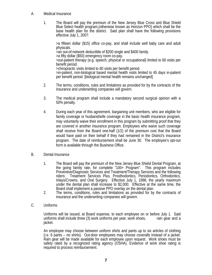- A. Medical Insurance
	- 1. The Board will pay the premium of the New Jersey Blue Cross and Blue Shield Blue Select health program,(otherwise known as Horizon PPO) which shall be the base health plan for the district. Said plan shall have the following provisions effective July 1, 2007:

>a fifteen dollar (\$15) office co-pay, and shall include well baby care and adult physicals. >an out-of-network deductible of \$200 single and \$400 family. >a fifty dollar (\$50) emergency room co-pay. >out-patient therapy (e.g. speech, physical or occupational} limited to 60 visits per benefit period. >chiropractic visits limited to 60 visits per benefit period. >in-patient, non-biological based mental health visits limited to 45 days in-patient

- 2. The terms, conditions, rules and limitations as provided for by the contracts of the insurance and underwriting companies will govern.
- 3. The medical program shall include a mandatory second surgical opinion with a 50% penalty.
- 4. During each year of this agreement, bargaining unit members, who are eligible for family coverage or husband/wife coverage in the basic health insurance program, may voluntarily waive their enrollment in this program by submitting proof that they are covered in another insurance program. Employees who waive such coverage shall receive from the Board one-half (1/2) of the premium cost that the Board would have paid on their behalf if they had remained in the District's insurance program. The date of reimbursement shall be June 30. The employee's opt-out form is available through the Business Office.
- B. Dental Insurance
	- 1. The Board will pay the premium of the New Jersey Blue Shield Dental Program, at the going family rate, for complete "100+ Program". This program includes Preventive/Diagnostic Services and Treatment/Therapy Services and the following riders: Treatment Services Plus, Prosthodontics, Periodontics, Orthodontics, Inlays/Crowns, and Oral Surgery. Effective July 1, 1998, the yearly maximum under the dental plan shall increase to \$2,000. Effective at the same time, the Board shall implement a passive PPO overlay on the dental plan.
	- 2. The terms, conditions, rules and limitations as provided for by the contracts of insurance and the underwriting companies will govern.
- C. Uniforms

Uniforms will be issued, at Board expense, to each employee on or before July 1. Said uniforms shall include three (3) work uniforms per year, work shoes, rain gear and a jacket.

An employee may choose between uniform shirts and pants up to six articles of clothing (i.e. 6 pants – no shirts). Out-door employees may choose coveralls instead of a jacket. Rain gear will be made available for each employee upon request. Work shoes must be safety rated by a recognized rating agency (OSHA). Evidence of work shoe rating is required to process reimbursement.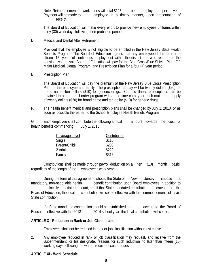Note: Reimbursement for work shoes will total \$125 per employee per year. Payment will be made to employee in a timely manner, upon presentation of

receipt.<br>The Board of Education will make every effort to provide new employees uniforms within thirty (30) work days following their probation period.

D. Medical and Dental After Retirement

Provided that the employee is not eligible to be enrolled in the New Jersey State Health Benefits Program, The Board of Education agrees that any employee of this unit after fifteen (15) years of continuous employment within the district and who retires into the pension system, said Board of Education will pay for the Blue Cross/Blue Shield, Rider "J", Major Medical, Dental Program, and Prescription Plan for a four (4) year period.

E. Prescription Plan

The Board of Education will pay the premium of the New Jersey Blue Cross Prescription Plan for the employee and family. The prescription co-pay will be twenty dollars (\$20) for brand name, ten dollars (\$10) for generic drugs. Chronic illness prescriptions can be obtained through a mail order program with a one time co-pay for each mail order supply of twenty dollars (\$20) for brand name and ten-dollar (\$10) for generic drugs.

F. The health benefit medical and prescription plans shall be changed by July 1, 2010, or as soon as possible thereafter, to the School Employee Health Benefit Program

G*.* Each employee shall contribute the following annual amount towards the cost of health benefits commencing July 1, 2010:

| Coverage Level | Contribution |
|----------------|--------------|
| Single         | \$110        |
| Parent/Child+  | \$200        |
| 2 Adults       | \$220        |
| Family         | \$315        |

 Contributions shall be made through payroll deduction on a ten (10) month basis, regardless of the length of the employee's work year.

 During the term of this agreement, should the State of New Jersey impose a mandatory, non-negotiable health benefit contribution upon Board employees in addition to the locally negotiated amount, and if that State mandated contribution accrues to the Board of Education, the local contribution will cease effective with the commencement of said State contribution.

 If a State mandated contribution should be established and accrue to the Board of Education effective with the 2013- 2014 school year, the local contribution will cease.

#### **ARTICLE X - Reduction in Rank or Job Classification**

- 1. Employees shall not be reduced in rank or job classification without just cause.
- 2. Any employee reduced in rank or job classification may request, and receive from the Superintendent, or his designate, reasons for such reduction no later than fifteen (15) working days following the written receipt of such request.

#### **ARTICLE XI - Work Schedule**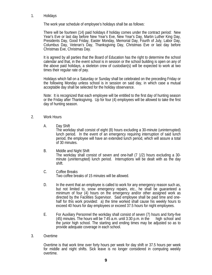#### 1. Holidays

The work year schedule of employee's holidays shall be as follows:

There will be fourteen (14) paid holidays if holiday comes under the contract period: New Year's Eve or last day before New Year's Eve, New Year's Day, Martin Luther King Day, Presidents Day, Good Friday, Easter Monday, Memorial Day, Fourth of July, Labor Day, Columbus Day, Veteran's Day, Thanksgiving Day, Christmas Eve or last day before Christmas Eve, Christmas Day.

It is agreed by all parties that the Board of Education has the right to determine the school calendar and that, in the event school is in session or the school building is open on any of the above paid holidays, a skeleton crew of custodian(s) will be expected to work at two times their regular rate of pay.

Holidays which fall on a Saturday or Sunday shall be celebrated on the preceding Friday or the following Monday unless school is in session on said day, in which case a mutual acceptable day shall be selected for the holiday observance.

Note: It is recognized that each employee will be entitled to the first day of hunting season or the Friday after Thanksgiving. Up for four (4) employees will be allowed to take the first day of hunting season.

#### 2. Work Hours

A. Day Shift

The workday shall consist of eight (8) hours excluding a 30-minute (uninterrupted) lunch period. In the event of an emergency requiring interruption of said lunch period, the employee will have an extended lunch period, which will assure a total of 30 minutes.

B. Middle and Night Shift

The workday shall consist of seven and one-half (7 1/2) hours excluding a 30 minute (uninterrupted) lunch period. Interruptions will be dealt with as the day shift.

- C. Coffee Breaks Two coffee breaks of 15 minutes will be allowed.
- D. In the event that an employee is called to work for any emergency reason such as, but not limited to, snow emergency repairs, etc., he shall be guaranteed a minimum of four (4) hours on the emergency and/or other assigned work as directed by the Facilities Supervisor. Said employee shall be paid time and onehalf for this work provided: a) the time worked shall cause his weekly hours to exceed 40 hours for day employees or exceed 37.5 hours for night employees.
- E. For Auxiliary Personnel the workday shall consist of seven (7) hours and forty-five (45) minutes. The hours will be  $7:45$  a.m. until 3:30 p.m. in the high school and the junior high school. The starting and ending times may be adjusted so as to provide adequate coverage in each school.
- 3. Overtime

Overtime is that work time over forty hours per week for day shift or 37.5 hours per week for middle and night shifts. Sick leave is no longer considered in computing weekly overtime.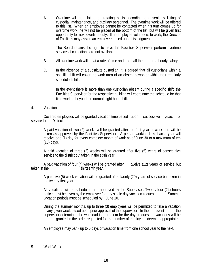A. Overtime will be allotted on rotating basis according to a seniority listing of custodial, maintenance, and auxiliary personnel. The overtime work will be offered to this list. When an employee cannot be contacted when his turn comes up for overtime work, he will not be placed at the bottom of the list, but will be given first opportunity for next overtime duty. If no employee volunteers to work, the Director of Facilities may assign an employee based upon his judgment.

The Board retains the right to have the Facilities Supervisor perform overtime services if custodians are not available.

- B. All overtime work will be at a rate of time and one-half the pro-rated hourly salary.
- C. In the absence of a substitute custodian, it is agreed that all custodians within a specific shift will cover the work area of an absent coworker within their regularly scheduled shift.

 In the event there is more than one custodian absent during a specific shift, the Facilities Supervisor for the respective building will coordinate the schedule for that time worked beyond the normal eight hour shift.

#### 4. Vacation

 Covered employees will be granted vacation time based upon successive years of service to the District.

A paid vacation of two (2) weeks will be granted after the first year of work and will be taken as approved by the Facilities Supervisor. A person working less than a year will receive one (1) day for every complete month of work as of June 30 to a maximum of ten (10) days.

A paid vacation of three (3) weeks will be granted after five (5) years of consecutive service to the district but taken in the sixth year.

A paid vacation of four (4) weeks will be granted after twelve (12) years of service but taken in the taken in the thirteenth year.

A paid five (5) week vacation will be granted after twenty (20) years of service but taken in the twenty-first year.

All vacations will be scheduled and approved by the Supervisor. Twenty-four (24) hours notice must be given by the employee for any single day vacation request. Summer vacation periods must be scheduled by June 10.

During the summer months, up to three (3) employees will be permitted to take a vacation in any given week based upon prior approval of the supervisor. In the event the supervisor determines the workload is a problem for the days requested, vacations will be granted in the order requested for the number of employees deemed appropriate.

An employee may bank up to 5 days of vacation time from one school year to the next.

#### 5. Work Week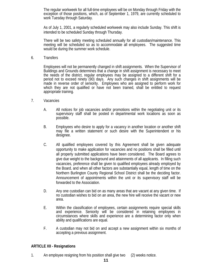The regular workweek for all full-time employees will be on Monday through Friday with the exception of those positions, which, as of September 1, 1979, are currently scheduled to work Tuesday through Saturday.

As of July 1, 2001, a regularly scheduled workweek may also include Sunday. This shift is intended to be scheduled Sunday through Thursday.

There will be two safety meeting scheduled annually for all custodian/maintenance. This meeting will be scheduled so as to accommodate all employees. The suggested time would be during the summer work schedule.

6. Transfers

Employees will not be permanently changed in shift assignments. When the Supervisor of Buildings and Grounds determines that a change in shift assignment is necessary to meet the needs of the district, regular employees may be assigned to a different shift for a period not to exceed ninety (90) days. Any such changes in shift assignments will be made in reverse order of seniority. Employees who are assigned to perform work for which they are not qualified or have not been trained, shall be entitled to request appropriate training.

- 7. Vacancies
	- A. All notices for job vacancies and/or promotions within the negotiating unit or its supervisory staff shall be posted in departmental work locations as soon as possible.
	- B. Employees who desire to apply for a vacancy in another location or another shift may file a written statement or such desire with the Superintendent or his designee.
	- C. All qualified employees covered by this Agreement shall be given adequate opportunity to make application for vacancies and no positions shall be filled until all properly submitted applications have been considered. The Board agrees to give due weight to the background and attainments of all applicants. In filling such vacancies, preference shall be given to qualified employees already employed by the Board, and when all other factors are substantially equal, length of time on the Northern Burlington County Regional School District shall be the deciding factor. Announcement of appointments within the unit or its supervisory staff will be forwarded to the Association.
	- D. Any one custodian can bid on as many areas that are vacant at any given time. If no custodian wishes to bid on an area, the new hire will receive the vacant or new area.
	- E. Within the classification of employees, certain assignments require special skills and experience. Seniority will be considered in retaining employees in circumstances where skills and experience are a determining factor only when ability and qualifications are equal.
	- F. A custodian may not bid on and accept a new assignment within six months of accepting a previous assignment.

#### **ARTICLE XII - Resignations**

1. An employee resigning from his position shall give two (2) weeks notice.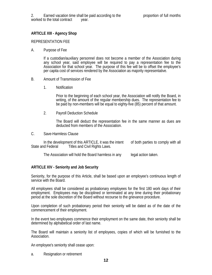# **ARTICLE XIII - Agency Shop**

#### REPRESENTATION FEE

#### A. Purpose of Fee

If a custodian/auxiliary personnel does not become a member of the Association during any school year, said employee will be required to pay a representation fee to the Association for that school year. The purpose of this fee will be to offset the employee's per capita cost of services rendered by the Association as majority representative.

#### B. Amount of Transmission of Fee

1. Notification

Prior to the beginning of each school year, the Association will notify the Board, in writing, of the amount of the regular membership dues. The representation fee to be paid by non-members will be equal to eighty-five (85) percent of that amount.

2. Payroll Deduction Schedule

The Board will deduct the representation fee in the same manner as dues are deducted from members of the Association.

C. Save-Harmless Clause

 In the development of this ARTICLE, it was the intent of both parties to comply with all State and Federal Titles and Civil Rights Laws.

The Association will hold the Board harmless in any legal action taken.

#### **ARTICLE XIV - Seniority and Job Security**

Seniority, for the purpose of this Article, shall be based upon an employee's continuous length of service with the Board.

All employees shall be considered as probationary employees for the first 180 work days of their employment. Employees may be disciplined or terminated at any time during their probationary period at the sole discretion of the Board without recourse to the grievance procedure.

Upon completion of such probationary period their seniority will be dated as of the date of the commencement of their employment.

In the event two employees commence their employment on the same date, their seniority shall be determined by alphabetical order of last name.

The Board will maintain a seniority list of employees, copies of which will be furnished to the Association.

An employee's seniority shall cease upon:

a. Resignation or retirement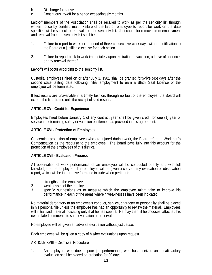- b. Discharge for cause
- c. Continuous lay-off for a period exceeding six months

Laid-off members of the Association shall be recalled to work as per the seniority list through written notice by certified mail. Failure of the laid-off employee to report for work on the date specified will be subject to removal from the seniority list. Just cause for removal from employment and removal from the seniority list shall be:

- 1. Failure to report to work for a period of three consecutive work days without notification to the Board of a justifiable excuse for such action.
- 2. Failure to report back to work immediately upon expiration of vacation, a leave of absence, or any renewal thereof.

Lay-offs will occur according to the seniority list.

Custodial employees hired on or after July 1, 1981 shall be granted forty-five (45) days after the second state testing date following initial employment to earn a Black Seal License or the employee will be terminated.

If test results are unavailable in a timely fashion, through no fault of the employee, the Board will extend the time frame until the receipt of said results.

#### **ARTICLE XV - Credit for Experience**

Employees hired before January 1 of any contract year shall be given credit for one (1) year of service in determining salary or vacation entitlement as provided in this agreement.

#### **ARTICLE XVI - Protection of Employees**

Concerning protection of employees who are injured during work, the Board refers to Workmen's Compensation as the recourse to the employee. The Board pays fully into this account for the protection of the employees of this district.

#### **ARTICLE XVII - Evaluation Process**

All observation of work performance of an employee will be conducted openly and with full knowledge of the employee. The employee will be given a copy of any evaluation or observation report, which will be in narrative form and include when pertinent:

- 1. strengths of the employee<br>2. weaknesses of the employ
- weaknesses of the employee
- 3. specific suggestions as to measure which the employee might take to improve his performance in each of the areas wherein weaknesses have been indicated.

No material derogatory to an employee's conduct, service, character or personality shall be placed in his personal file unless the employee has had an opportunity to review the material. Employees will initial said material indicating only that he has seen it. He may then, if he chooses, attached his own related comments to such evaluation or observation.

No employee will be given an adverse evaluation without just cause.

Each employee will be given a copy of his/her evaluations upon request.

#### ARTICLE XVIII – Dismissal Procedure

1. An employee, who due to poor job performance, who has received an unsatisfactory evaluation shall be placed on probation for 30 days.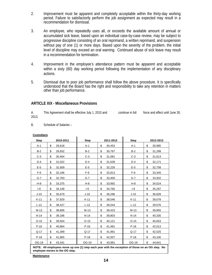- 2. Improvement must be apparent and completely acceptable within the thirty-day working period. Failure to satisfactorily perform the job assignment as expected may result in a recommendation for dismissal.
- 3. An employee, who repeatedly uses all, or exceeds the available amount of annual or accumulated sick leave, based upon an individual case-by-case review, may be subject to progressive discipline consisting of an oral reprimand, a written reprimand, and suspension without pay of one (1) or more days. Based upon the severity of the problem, the initial level of discipline may exceed an oral warning. Continued abuse of sick leave may result in a recommendation for termination.
- 4. Improvement in the employee's attendance pattern must be apparent and acceptable within a sixty (60) day working period following the implementation of any disciplinary actions.
- 5. Dismissal due to poor job performance shall follow the above procedure. It is specifically understood that the Board has the right and responsibility to take any retention in matters other than job performance.

#### **ARTICLE XIX - Miscellaneous Provisions**

 $\ddot{\phantom{a}}$ 

A. This Agreement shall be effective July 1, 2010 and continue in full force and effect until June 30, 2013.

B. Schedule of Salaries –

| <b>Step</b>                                                                                         | 2010-2011    | <b>Step</b> | 2011-2012    | <b>Step</b> | 2012-2013    |  |
|-----------------------------------------------------------------------------------------------------|--------------|-------------|--------------|-------------|--------------|--|
| $A-1$                                                                                               | \$<br>29,618 | $A-1$       | \$<br>30,453 | $A-1$       | \$<br>30,985 |  |
| $B-2$                                                                                               | \$<br>29,932 | $B-2$       | \$<br>30,767 | $B-2$       | \$<br>31,299 |  |
| $C-3$                                                                                               | \$<br>30,464 | $C-3$       | \$<br>31,081 | $C-3$       | \$<br>31,613 |  |
| $D-4$                                                                                               | \$<br>31,022 | $D-4$       | \$<br>31,639 | $D-4$       | \$<br>32,171 |  |
| $E-5$                                                                                               | \$<br>31,609 | $E-5$       | \$<br>32,226 | $E-5$       | \$<br>32,758 |  |
| $F-6$                                                                                               | \$<br>32,196 | $F-6$       | \$<br>32,813 | $F-6$       | \$<br>33,345 |  |
| $G-7$                                                                                               | \$<br>32,783 | $G-7$       | \$<br>33,400 | $G-7$       | \$<br>33,932 |  |
| $H-8$                                                                                               | \$<br>33,375 | $H-8$       | \$<br>33,992 | $H-8$       | \$<br>34,524 |  |
| $I-9$                                                                                               | \$<br>34,148 | $-9$        | \$<br>34,765 | $I-9$       | \$<br>35,297 |  |
| $J-10$                                                                                              | \$<br>35,679 | $J-10$      | \$<br>36,296 | $J-10$      | \$<br>36,828 |  |
| $K-11$                                                                                              | \$<br>37,929 | $K-11$      | \$<br>38,546 | $K-11$      | \$<br>39,078 |  |
| $L-12$                                                                                              | \$<br>38,427 | $L-12$      | \$<br>39,044 | $L-12$      | \$<br>39,576 |  |
| $M-13$                                                                                              | \$<br>38,806 | $M-13$      | \$<br>39,423 | $M-13$      | \$<br>39,955 |  |
| $N-14$                                                                                              | \$<br>39,186 | $N-14$      | \$<br>39,803 | $N-14$      | \$<br>40,335 |  |
| $O-15$                                                                                              | \$<br>39,504 | $O-15$      | \$<br>40,121 | $O-15$      | \$<br>40,653 |  |
| $P-16$                                                                                              | \$<br>40,864 | $P-16$      | \$<br>41,481 | $P-16$      | \$<br>42,013 |  |
| $Q-17$                                                                                              | \$<br>41,399 | $Q-17$      | \$<br>41,991 | $Q-17$      | \$<br>42,525 |  |
| $P-18$                                                                                              | \$<br>41,865 | $P-18$      | \$<br>42,507 | $P-18$      | \$<br>43,100 |  |
| OG-19                                                                                               | \$<br>43,341 | OG-19       | \$<br>43,991 | OG-19       | \$<br>44,641 |  |
| NOTE. All ample uses move up ano $(4)$ step seek vees with the execution of these an an OC step. No |              |             |              |             |              |  |

#### **Custodians**

**NOTE: All employees move up one (1) step each year with the exception of those on an OG step. No employee moves to the OG step.** 

**Maintenance**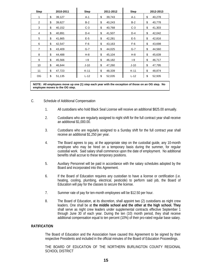| <b>Step</b>    | 2010-2011    | <b>Step</b> | 2011-2012    | <b>Step</b> | 2012-2013    |
|----------------|--------------|-------------|--------------|-------------|--------------|
| 1              | \$<br>39,127 | $A-1$       | \$<br>39,743 | A-1         | \$<br>40,278 |
| 2              | \$<br>39,627 | $B-2$       | \$<br>40,243 | $B-2$       | \$<br>40,778 |
| 3              | \$<br>40,152 | $C-3$       | \$<br>40,768 | $C-3$       | \$<br>41,303 |
| 4              | \$<br>40,891 | $D-4$       | \$<br>41,507 | $D-4$       | \$<br>42,042 |
| 5              | \$<br>41,665 | $E-5$       | \$<br>42,281 | $E-5$       | \$<br>42,816 |
| 6              | \$<br>42,547 | $F-6$       | \$<br>43,163 | $F-6$       | \$<br>43,698 |
| $\overline{7}$ | \$<br>43,409 | $G-7$       | \$<br>44,025 | $G-7$       | \$<br>44,560 |
| 8              | \$<br>44,488 | $H-8$       | \$<br>45,104 | $H-8$       | \$<br>45,639 |
| 9              | \$<br>45,566 | $I-9$       | \$<br>46,182 | $I-9$       | \$<br>46,717 |
| 10             | \$<br>46,644 | $J-10$      | \$<br>47,260 | $J-10$      | \$<br>47,795 |
| 11             | \$<br>47,723 | $K-11$      | \$<br>48,339 | K-11        | \$<br>48,874 |
| OG             | \$<br>51,135 | $L-12$      | \$<br>52,035 | $L-12$      | \$<br>52,935 |

 $\blacksquare$ 

Ï

**NOTE: All employees move up one (1) step each year with the exception of those on an OG step. No employee moves to the OG step.** 

- C. Schedule of Additional Compensation
	- 1. All custodians who hold Black Seal License will receive an additional \$825.00 annually.
	- 2. Custodians who are regularly assigned to night shift for the full contract year shall receive an additional \$1,000.00.
	- 3. Custodians who are regularly assigned to a Sunday shift for the full contract year shall receive an additional \$1,250 per year.
	- 4. The Board agrees to pay, at the appropriate step on the custodial guide, any 10-month employee who may be hired on a temporary basis during the summer, for regular custodial work. Said salary shall commence upon the date of employment. No additional benefits shall accrue to these temporary positions.
	- 5. Auxiliary Personnel will be paid in accordance with the salary schedules adopted by the Board and incorporated into this Agreement.
	- 6. If the Board of Education requires any custodian to have a license or certification (i.e. heating, cooling, plumbing, electrical, pesticide) to perform said job, the Board of Education will pay for the classes to secure the license.
	- 7. Summer rate of pay for ten-month employees will be \$12.50 per hour.
	- 8. The Board of Education, at its discretion, shall appoint two (2) custodians as night crew leaders. One shall be at **the middle school and the other at the high school. They** shall serve as night crew leaders under supplemental contracts effective September 1 through June 30 of each year. During the ten (10) month period, they shall receive additional compensation equal to ten percent (10%) of their pro-rated regular base salary.

#### **RATIFICATION**

The Board of Education and the Association have caused this Agreement to be signed by their respective Presidents and included in the official minutes of the Board of Education Proceedings.

THE BOARD OF EDUCATION OF THE NORTHERN BURLINGTON COUNTY REGIONAL SCHOOL DISTRICT